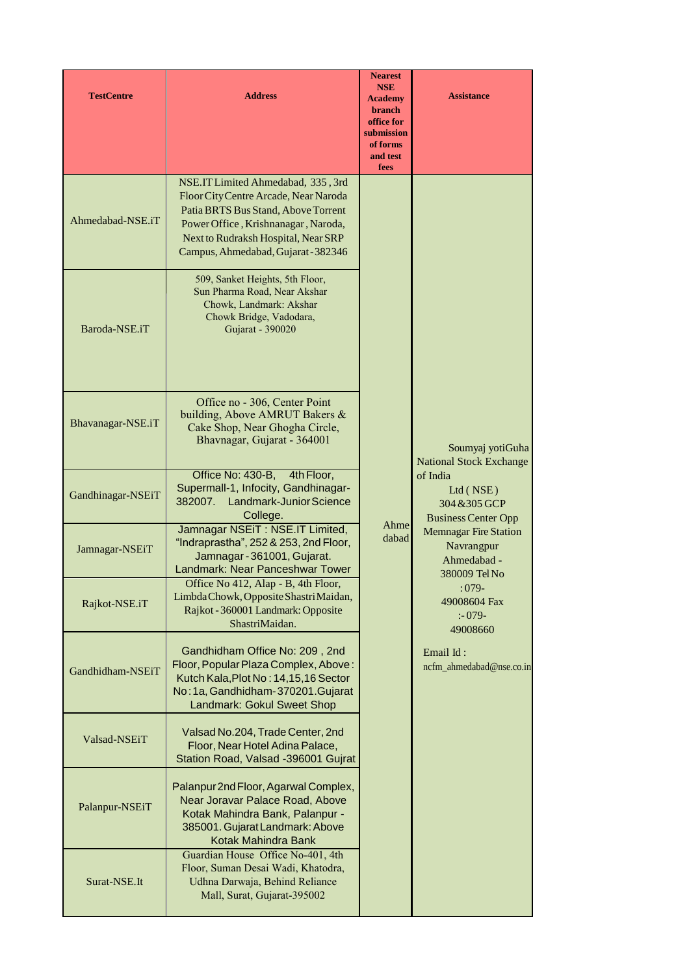| <b>TestCentre</b> | <b>Address</b>                                                                                                                                                                                                                          | <b>Nearest</b><br><b>NSE</b><br><b>Academy</b><br>branch<br>office for<br>submission<br>of forms<br>and test<br>fees | <b>Assistance</b>                                                          |
|-------------------|-----------------------------------------------------------------------------------------------------------------------------------------------------------------------------------------------------------------------------------------|----------------------------------------------------------------------------------------------------------------------|----------------------------------------------------------------------------|
| Ahmedabad-NSE.iT  | NSE.IT Limited Ahmedabad, 335, 3rd<br>Floor City Centre Arcade, Near Naroda<br>Patia BRTS Bus Stand, Above Torrent<br>Power Office, Krishnanagar, Naroda,<br>Next to Rudraksh Hospital, Near SRP<br>Campus, Ahmedabad, Gujarat - 382346 |                                                                                                                      |                                                                            |
| Baroda-NSE.iT     | 509, Sanket Heights, 5th Floor,<br>Sun Pharma Road, Near Akshar<br>Chowk, Landmark: Akshar<br>Chowk Bridge, Vadodara,<br>Gujarat - 390020                                                                                               |                                                                                                                      |                                                                            |
| Bhavanagar-NSE.iT | Office no - 306, Center Point<br>building, Above AMRUT Bakers &<br>Cake Shop, Near Ghogha Circle,<br>Bhavnagar, Gujarat - 364001                                                                                                        |                                                                                                                      | Soumyaj yotiGuha<br><b>National Stock Exchange</b>                         |
| Gandhinagar-NSEiT | Office No: 430-B,<br>4th Floor,<br>Supermall-1, Infocity, Gandhinagar-<br>382007. Landmark-Junior Science<br>College.                                                                                                                   |                                                                                                                      | of India<br>Ltd (NSE)<br>304 & 305 GCP<br><b>Business Center Opp</b>       |
| Jamnagar-NSEiT    | Jamnagar NSEIT: NSE.IT Limited,<br>"Indraprastha", 252 & 253, 2nd Floor,<br>Jamnagar - 361001, Gujarat.<br>Landmark: Near Panceshwar Tower                                                                                              | Ahme<br>dabad                                                                                                        | <b>Memnagar Fire Station</b><br>Navrangpur<br>Ahmedabad -<br>380009 Tel No |
| Rajkot-NSE.iT     | Office No 412, Alap - B, 4th Floor,<br>Limbda Chowk, Opposite Shastri Maidan,<br>Rajkot - 360001 Landmark: Opposite<br>ShastriMaidan.                                                                                                   |                                                                                                                      | $:079-$<br>49008604 Fax<br>$: -079 -$<br>49008660                          |
| Gandhidham-NSEiT  | Gandhidham Office No: 209, 2nd<br>Floor, Popular Plaza Complex, Above:<br>Kutch Kala, Plot No: 14, 15, 16 Sector<br>No: 1a, Gandhidham-370201.Gujarat<br>Landmark: Gokul Sweet Shop                                                     |                                                                                                                      | Email Id:<br>ncfm_ahmedabad@nse.co.in                                      |
| Valsad-NSEiT      | Valsad No.204, Trade Center, 2nd<br>Floor, Near Hotel Adina Palace,<br>Station Road, Valsad -396001 Gujrat                                                                                                                              |                                                                                                                      |                                                                            |
| Palanpur-NSEiT    | Palanpur 2nd Floor, Agarwal Complex,<br>Near Joravar Palace Road, Above<br>Kotak Mahindra Bank, Palanpur -<br>385001. Gujarat Landmark: Above<br>Kotak Mahindra Bank                                                                    |                                                                                                                      |                                                                            |
| Surat-NSE.It      | Guardian House Office No-401, 4th<br>Floor, Suman Desai Wadi, Khatodra,<br>Udhna Darwaja, Behind Reliance<br>Mall, Surat, Gujarat-395002                                                                                                |                                                                                                                      |                                                                            |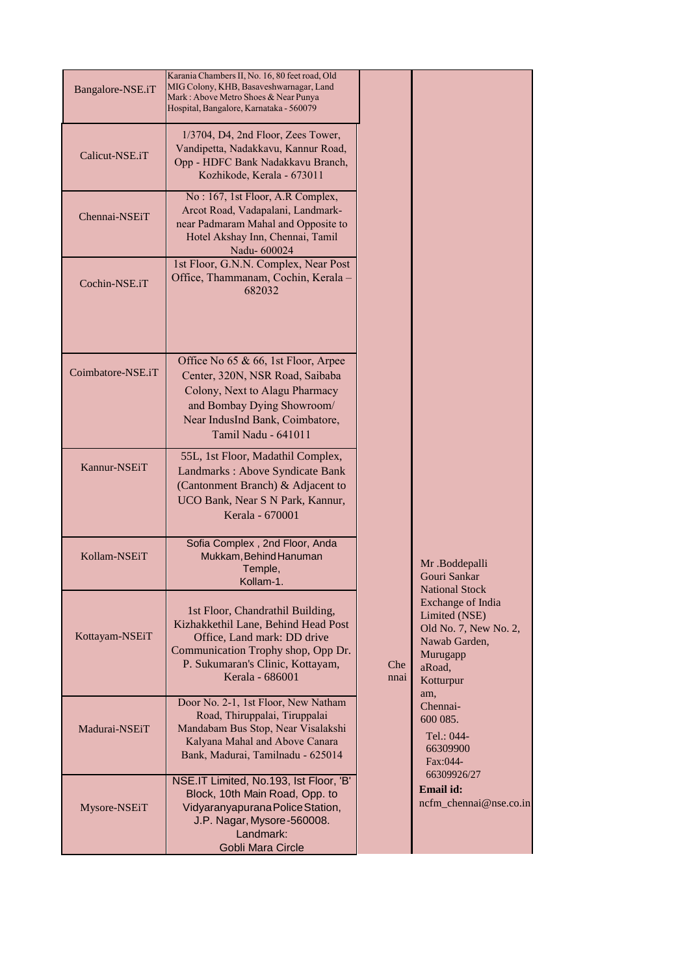| Bangalore-NSE.iT  | Karania Chambers II, No. 16, 80 feet road, Old<br>MIG Colony, KHB, Basaveshwarnagar, Land<br>Mark: Above Metro Shoes & Near Punya<br>Hospital, Bangalore, Karnataka - 560079                        |             |                                                                                                                                                 |
|-------------------|-----------------------------------------------------------------------------------------------------------------------------------------------------------------------------------------------------|-------------|-------------------------------------------------------------------------------------------------------------------------------------------------|
| Calicut-NSE.iT    | 1/3704, D4, 2nd Floor, Zees Tower,<br>Vandipetta, Nadakkavu, Kannur Road,<br>Opp - HDFC Bank Nadakkavu Branch,<br>Kozhikode, Kerala - 673011                                                        |             |                                                                                                                                                 |
| Chennai-NSEiT     | No: 167, 1st Floor, A.R Complex,<br>Arcot Road, Vadapalani, Landmark-<br>near Padmaram Mahal and Opposite to<br>Hotel Akshay Inn, Chennai, Tamil<br>Nadu-600024                                     |             |                                                                                                                                                 |
| Cochin-NSE.iT     | 1st Floor, G.N.N. Complex, Near Post<br>Office, Thammanam, Cochin, Kerala -<br>682032                                                                                                               |             |                                                                                                                                                 |
| Coimbatore-NSE.iT | Office No 65 & 66, 1st Floor, Arpee<br>Center, 320N, NSR Road, Saibaba<br>Colony, Next to Alagu Pharmacy<br>and Bombay Dying Showroom/<br>Near IndusInd Bank, Coimbatore,<br>Tamil Nadu - 641011    |             |                                                                                                                                                 |
| Kannur-NSEiT      | 55L, 1st Floor, Madathil Complex,<br>Landmarks: Above Syndicate Bank<br>(Cantonment Branch) & Adjacent to<br>UCO Bank, Near S N Park, Kannur,<br>Kerala - 670001                                    |             |                                                                                                                                                 |
| Kollam-NSEiT      | Sofia Complex, 2nd Floor, Anda<br>Mukkam, Behind Hanuman<br>Temple,<br>Kollam-1.                                                                                                                    |             | Mr.Boddepalli<br>Gouri Sankar                                                                                                                   |
| Kottayam-NSEiT    | 1st Floor, Chandrathil Building,<br>Kizhakkethil Lane, Behind Head Post<br>Office, Land mark: DD drive<br>Communication Trophy shop, Opp Dr.<br>P. Sukumaran's Clinic, Kottayam,<br>Kerala - 686001 | Che<br>nnai | <b>National Stock</b><br>Exchange of India<br>Limited (NSE)<br>Old No. 7, New No. 2,<br>Nawab Garden,<br>Murugapp<br>aRoad,<br>Kotturpur<br>am, |
| Madurai-NSEiT     | Door No. 2-1, 1st Floor, New Natham<br>Road, Thiruppalai, Tiruppalai<br>Mandabam Bus Stop, Near Visalakshi<br>Kalyana Mahal and Above Canara<br>Bank, Madurai, Tamilnadu - 625014                   |             | Chennai-<br>600 085.<br>Tel.: 044-<br>66309900<br>Fax:044-                                                                                      |
| Mysore-NSEiT      | NSE.IT Limited, No.193, Ist Floor, 'B'<br>Block, 10th Main Road, Opp. to<br>Vidyaranyapurana Police Station,<br>J.P. Nagar, Mysore-560008.<br>Landmark:<br>Gobli Mara Circle                        |             | 66309926/27<br>Email id:<br>ncfm_chennai@nse.co.in                                                                                              |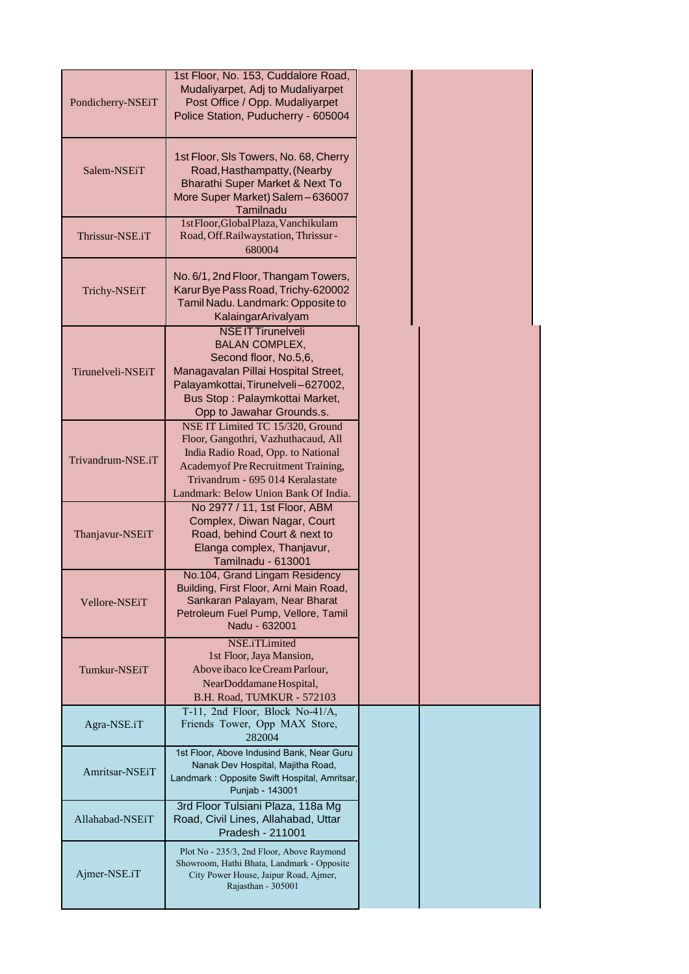| Pondicherry-NSEiT | 1st Floor, No. 153, Cuddalore Road,<br>Mudaliyarpet, Adj to Mudaliyarpet<br>Post Office / Opp. Mudaliyarpet<br>Police Station, Puducherry - 605004                                                                               |  |
|-------------------|----------------------------------------------------------------------------------------------------------------------------------------------------------------------------------------------------------------------------------|--|
| Salem-NSEiT       | 1st Floor, SIs Towers, No. 68, Cherry<br>Road, Hasthampatty, (Nearby<br>Bharathi Super Market & Next To<br>More Super Market) Salem-636007<br>Tamilnadu                                                                          |  |
| Thrissur-NSE.iT   | 1stFloor,GlobalPlaza,Vanchikulam<br>Road, Off.Railwaystation, Thrissur-<br>680004                                                                                                                                                |  |
| Trichy-NSEiT      | No. 6/1, 2nd Floor, Thangam Towers,<br>Karur Bye Pass Road, Trichy-620002<br>Tamil Nadu. Landmark: Opposite to<br>KalaingarArivalyam                                                                                             |  |
| Tirunelveli-NSEiT | <b>NSE IT Tirunelveli</b><br><b>BALAN COMPLEX,</b><br>Second floor, No.5,6,<br>Managavalan Pillai Hospital Street,<br>Palayamkottai, Tirunelveli-627002,<br>Bus Stop: Palaymkottai Market,<br>Opp to Jawahar Grounds.s.          |  |
| Trivandrum-NSE.iT | NSE IT Limited TC 15/320, Ground<br>Floor, Gangothri, Vazhuthacaud, All<br>India Radio Road, Opp. to National<br>Academyof Pre Recruitment Training,<br>Trivandrum - 695 014 Keralastate<br>Landmark: Below Union Bank Of India. |  |
| Thanjavur-NSEiT   | No 2977 / 11, 1st Floor, ABM<br>Complex, Diwan Nagar, Court<br>Road, behind Court & next to<br>Elanga complex, Thanjavur,<br><b>Tamilnadu - 613001</b>                                                                           |  |
| Vellore-NSEiT     | No.104, Grand Lingam Residency<br>Building, First Floor, Arni Main Road,<br>Sankaran Palayam, Near Bharat<br>Petroleum Fuel Pump, Vellore, Tamil<br>Nadu - 632001                                                                |  |
| Tumkur-NSEiT      | NSE.iTLimited<br>1st Floor, Jaya Mansion,<br>Above ibaco Ice Cream Parlour,<br>NearDoddamane Hospital,<br>B.H. Road, TUMKUR - 572103                                                                                             |  |
| Agra-NSE.iT       | T-11, 2nd Floor, Block No-41/A,<br>Friends Tower, Opp MAX Store,<br>282004                                                                                                                                                       |  |
| Amritsar-NSEiT    | 1st Floor, Above Indusind Bank, Near Guru<br>Nanak Dev Hospital, Majitha Road,<br>Landmark: Opposite Swift Hospital, Amritsar,<br>Punjab - 143001                                                                                |  |
| Allahabad-NSEiT   | 3rd Floor Tulsiani Plaza, 118a Mg<br>Road, Civil Lines, Allahabad, Uttar<br>Pradesh - 211001                                                                                                                                     |  |
| Ajmer-NSE.iT      | Plot No - 235/3, 2nd Floor, Above Raymond<br>Showroom, Hathi Bhata, Landmark - Opposite<br>City Power House, Jaipur Road, Ajmer,<br>Rajasthan - 305001                                                                           |  |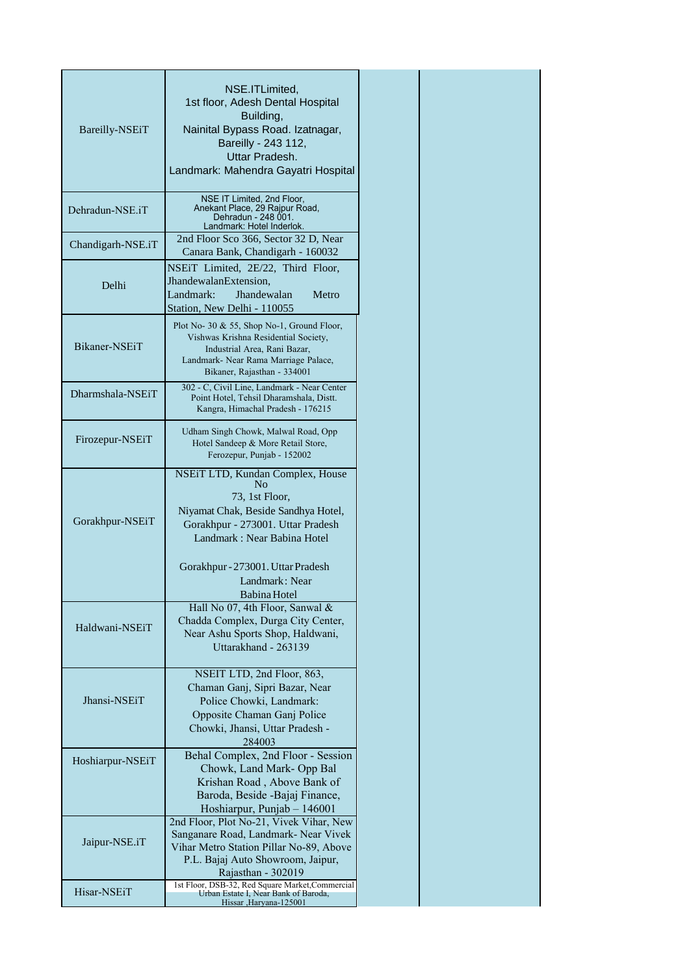|                          | NSE.ITLimited,                                                                           |
|--------------------------|------------------------------------------------------------------------------------------|
|                          | 1st floor, Adesh Dental Hospital                                                         |
|                          | Building,                                                                                |
| Bareilly-NSEiT           | Nainital Bypass Road. Izatnagar,                                                         |
|                          | Bareilly - 243 112,                                                                      |
|                          | Uttar Pradesh.                                                                           |
|                          | Landmark: Mahendra Gayatri Hospital                                                      |
|                          |                                                                                          |
|                          | NSE IT Limited, 2nd Floor,                                                               |
| Dehradun-NSE.iT          | Anekant Place, 29 Rajpur Road,<br>Dehradun - 248 001.                                    |
|                          | Landmark: Hotel Inderlok.                                                                |
| Chandigarh-NSE.iT        | 2nd Floor Sco 366, Sector 32 D, Near                                                     |
|                          | Canara Bank, Chandigarh - 160032                                                         |
|                          | NSEIT Limited, 2E/22, Third Floor,                                                       |
| Delhi                    | JhandewalanExtension,                                                                    |
|                          | Landmark:<br>Jhandewalan<br>Metro                                                        |
|                          | Station, New Delhi - 110055                                                              |
|                          |                                                                                          |
|                          | Plot No- 30 & 55, Shop No-1, Ground Floor,<br>Vishwas Krishna Residential Society,       |
| Bikaner-NSEiT            | Industrial Area, Rani Bazar,                                                             |
|                          | Landmark- Near Rama Marriage Palace,                                                     |
|                          | Bikaner, Rajasthan - 334001                                                              |
|                          | 302 - C, Civil Line, Landmark - Near Center                                              |
| Dharmshala-NSEiT         | Point Hotel, Tehsil Dharamshala, Distt.                                                  |
|                          | Kangra, Himachal Pradesh - 176215                                                        |
|                          |                                                                                          |
| Firozepur-NSEiT          | Udham Singh Chowk, Malwal Road, Opp                                                      |
|                          | Hotel Sandeep & More Retail Store,<br>Ferozepur, Punjab - 152002                         |
|                          |                                                                                          |
|                          | NSEiT LTD, Kundan Complex, House                                                         |
|                          | N <sub>0</sub>                                                                           |
|                          | 73, 1st Floor,                                                                           |
| Gorakhpur-NSEiT          | Niyamat Chak, Beside Sandhya Hotel,                                                      |
|                          | Gorakhpur - 273001. Uttar Pradesh                                                        |
|                          | Landmark: Near Babina Hotel                                                              |
|                          |                                                                                          |
|                          | Gorakhpur - 273001. Uttar Pradesh                                                        |
|                          | Landmark: Near                                                                           |
|                          | Babina Hotel                                                                             |
|                          | Hall No 07, 4th Floor, Sanwal &                                                          |
| Haldwani-NSEiT           | Chadda Complex, Durga City Center,                                                       |
|                          | Near Ashu Sports Shop, Haldwani,                                                         |
|                          | Uttarakhand - 263139                                                                     |
|                          |                                                                                          |
|                          | NSEIT LTD, 2nd Floor, 863,                                                               |
|                          | Chaman Ganj, Sipri Bazar, Near                                                           |
| Jhansi-NSEiT             | Police Chowki, Landmark:                                                                 |
|                          | Opposite Chaman Ganj Police                                                              |
|                          | Chowki, Jhansi, Uttar Pradesh -                                                          |
|                          | 284003                                                                                   |
| Hoshiarpur-NSEiT         | Behal Complex, 2nd Floor - Session                                                       |
|                          | Chowk, Land Mark-Opp Bal                                                                 |
|                          | Krishan Road, Above Bank of                                                              |
|                          | Baroda, Beside -Bajaj Finance,                                                           |
|                          | Hoshiarpur, Punjab - 146001                                                              |
|                          | 2nd Floor, Plot No-21, Vivek Vihar, New                                                  |
|                          | Sanganare Road, Landmark- Near Vivek                                                     |
| Jaipur-NSE.iT            | Vihar Metro Station Pillar No-89, Above                                                  |
|                          | P.L. Bajaj Auto Showroom, Jaipur,                                                        |
|                          | Rajasthan - 302019                                                                       |
| Hisar-NSE <sub>i</sub> T | 1st Floor, DSB-32, Red Square Market, Commercial<br>Urban Estate I, Near Bank of Baroda, |
|                          | Hissar ,Haryana-125001                                                                   |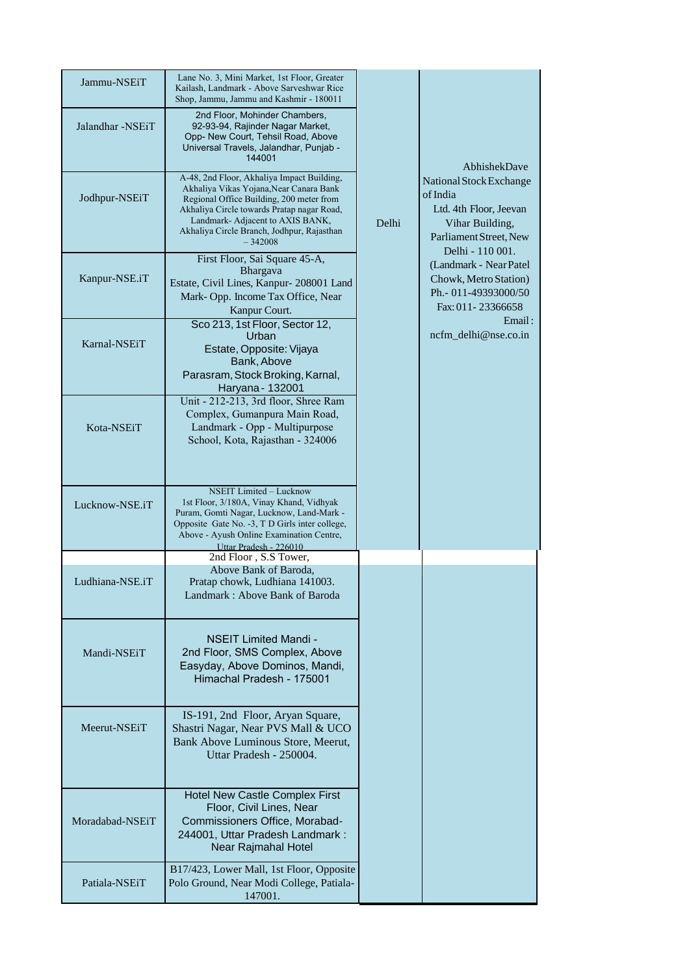| Jammu-NSEiT      | Lane No. 3, Mini Market, 1st Floor, Greater<br>Kailash, Landmark - Above Sarveshwar Rice<br>Shop, Jammu, Jammu and Kashmir - 180011                                                                                                                                            |       |                                                                                                                                |
|------------------|--------------------------------------------------------------------------------------------------------------------------------------------------------------------------------------------------------------------------------------------------------------------------------|-------|--------------------------------------------------------------------------------------------------------------------------------|
| Jalandhar -NSEiT | 2nd Floor, Mohinder Chambers,<br>92-93-94, Rajinder Nagar Market,<br>Opp- New Court, Tehsil Road, Above<br>Universal Travels, Jalandhar, Punjab -<br>144001                                                                                                                    |       | AbhishekDave                                                                                                                   |
| Jodhpur-NSEiT    | A-48, 2nd Floor, Akhaliya Impact Building,<br>Akhaliya Vikas Yojana, Near Canara Bank<br>Regional Office Building, 200 meter from<br>Akhaliya Circle towards Pratap nagar Road,<br>Landmark- Adjacent to AXIS BANK,<br>Akhaliya Circle Branch, Jodhpur, Rajasthan<br>$-342008$ | Delhi | National Stock Exchange<br>of India<br>Ltd. 4th Floor, Jeevan<br>Vihar Building,<br>Parliament Street, New<br>Delhi - 110 001. |
| Kanpur-NSE.iT    | First Floor, Sai Square 45-A,<br><b>Bhargava</b><br>Estate, Civil Lines, Kanpur- 208001 Land<br>Mark-Opp. Income Tax Office, Near<br>Kanpur Court.                                                                                                                             |       | (Landmark - Near Patel)<br>Chowk, Metro Station)<br>Ph.- 011-49393000/50<br>Fax: 011-23366658                                  |
| Karnal-NSEiT     | Sco 213, 1st Floor, Sector 12,<br>Urban<br>Estate, Opposite: Vijaya<br>Bank, Above<br>Parasram, Stock Broking, Karnal,<br>Haryana - 132001                                                                                                                                     |       | Email:<br>ncfm_delhi@nse.co.in                                                                                                 |
| Kota-NSEiT       | Unit - 212-213, 3rd floor, Shree Ram<br>Complex, Gumanpura Main Road,<br>Landmark - Opp - Multipurpose<br>School, Kota, Rajasthan - 324006                                                                                                                                     |       |                                                                                                                                |
| Lucknow-NSE.iT   | <b>NSEIT Limited - Lucknow</b><br>1st Floor, 3/180A, Vinay Khand, Vidhyak<br>Puram, Gomti Nagar, Lucknow, Land-Mark -<br>Opposite Gate No. -3, T D Girls inter college,<br>Above - Ayush Online Examination Centre,<br>Uttar Pradesh - 226010                                  |       |                                                                                                                                |
|                  | 2nd Floor, S.S Tower,                                                                                                                                                                                                                                                          |       |                                                                                                                                |
| Ludhiana-NSE.iT  | Above Bank of Baroda,<br>Pratap chowk, Ludhiana 141003.<br>Landmark: Above Bank of Baroda                                                                                                                                                                                      |       |                                                                                                                                |
| Mandi-NSEiT      | <b>NSEIT Limited Mandi -</b><br>2nd Floor, SMS Complex, Above<br>Easyday, Above Dominos, Mandi,<br>Himachal Pradesh - 175001                                                                                                                                                   |       |                                                                                                                                |
| Meerut-NSEiT     | IS-191, 2nd Floor, Aryan Square,<br>Shastri Nagar, Near PVS Mall & UCO<br>Bank Above Luminous Store, Meerut,<br>Uttar Pradesh - 250004.                                                                                                                                        |       |                                                                                                                                |
| Moradabad-NSEiT  | Hotel New Castle Complex First<br>Floor, Civil Lines, Near<br>Commissioners Office, Morabad-<br>244001, Uttar Pradesh Landmark:<br>Near Rajmahal Hotel                                                                                                                         |       |                                                                                                                                |
| Patiala-NSEiT    | B17/423, Lower Mall, 1st Floor, Opposite<br>Polo Ground, Near Modi College, Patiala-<br>147001.                                                                                                                                                                                |       |                                                                                                                                |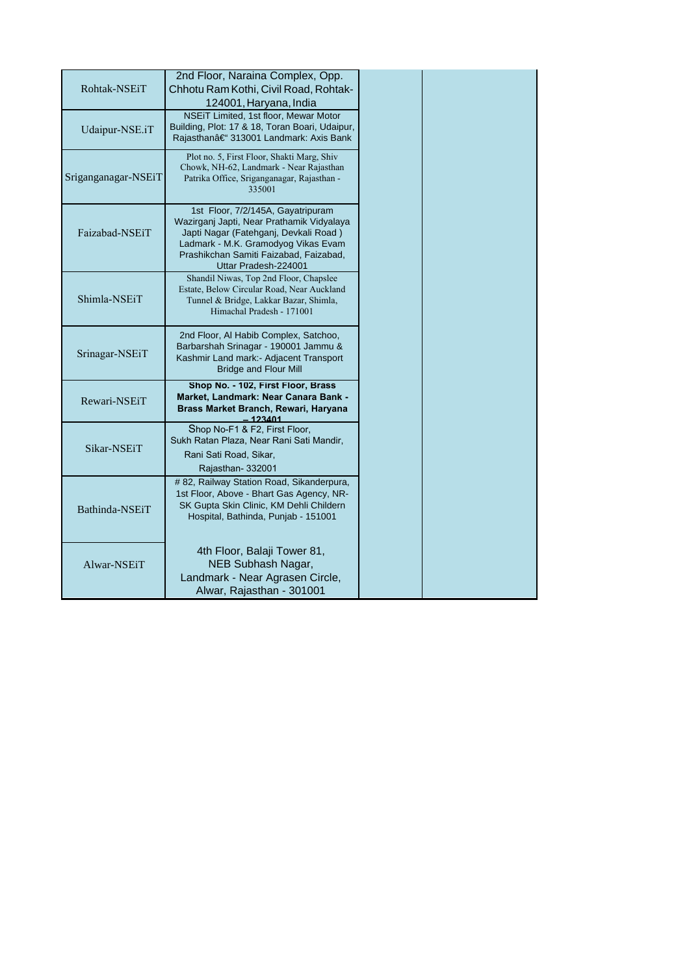|                     | 2nd Floor, Naraina Complex, Opp.                                                       |
|---------------------|----------------------------------------------------------------------------------------|
| Rohtak-NSEiT        | Chhotu Ram Kothi, Civil Road, Rohtak-                                                  |
|                     | 124001, Haryana, India                                                                 |
|                     | NSEIT Limited, 1st floor, Mewar Motor                                                  |
| Udaipur-NSE.iT      | Building, Plot: 17 & 18, Toran Boari, Udaipur,<br>Rajasthan†313001 Landmark: Axis Bank |
|                     |                                                                                        |
|                     | Plot no. 5, First Floor, Shakti Marg, Shiv<br>Chowk, NH-62, Landmark - Near Rajasthan  |
| Sriganganagar-NSEiT | Patrika Office, Sriganganagar, Rajasthan -                                             |
|                     | 335001                                                                                 |
|                     | 1st Floor, 7/2/145A, Gayatripuram                                                      |
|                     | Wazirganj Japti, Near Prathamik Vidyalaya                                              |
| Faizabad-NSEiT      | Japti Nagar (Fatehganj, Devkali Road)<br>Ladmark - M.K. Gramodyog Vikas Evam           |
|                     | Prashikchan Samiti Faizabad, Faizabad,                                                 |
|                     | Uttar Pradesh-224001                                                                   |
|                     | Shandil Niwas, Top 2nd Floor, Chapslee                                                 |
| Shimla-NSEiT        | Estate, Below Circular Road, Near Auckland<br>Tunnel & Bridge, Lakkar Bazar, Shimla,   |
|                     | Himachal Pradesh - 171001                                                              |
|                     |                                                                                        |
|                     | 2nd Floor, Al Habib Complex, Satchoo,                                                  |
| Srinagar-NSEiT      | Barbarshah Srinagar - 190001 Jammu &<br>Kashmir Land mark:- Adjacent Transport         |
|                     | <b>Bridge and Flour Mill</b>                                                           |
|                     | Shop No. - 102, First Floor, Brass                                                     |
| Rewari-NSEiT        | Market, Landmark: Near Canara Bank -                                                   |
|                     | Brass Market Branch, Rewari, Haryana<br>123401                                         |
|                     | Shop No-F1 & F2, First Floor,                                                          |
| Sikar-NSEiT         | Sukh Ratan Plaza, Near Rani Sati Mandir,                                               |
|                     | Rani Sati Road, Sikar,                                                                 |
|                     | Rajasthan-332001                                                                       |
|                     | # 82, Railway Station Road, Sikanderpura,<br>1st Floor, Above - Bhart Gas Agency, NR-  |
| Bathinda-NSEiT      | SK Gupta Skin Clinic, KM Dehli Childern                                                |
|                     | Hospital, Bathinda, Punjab - 151001                                                    |
|                     |                                                                                        |
|                     | 4th Floor, Balaji Tower 81,                                                            |
| Alwar-NSEiT         | NEB Subhash Nagar,                                                                     |
|                     | Landmark - Near Agrasen Circle,                                                        |
|                     | Alwar, Rajasthan - 301001                                                              |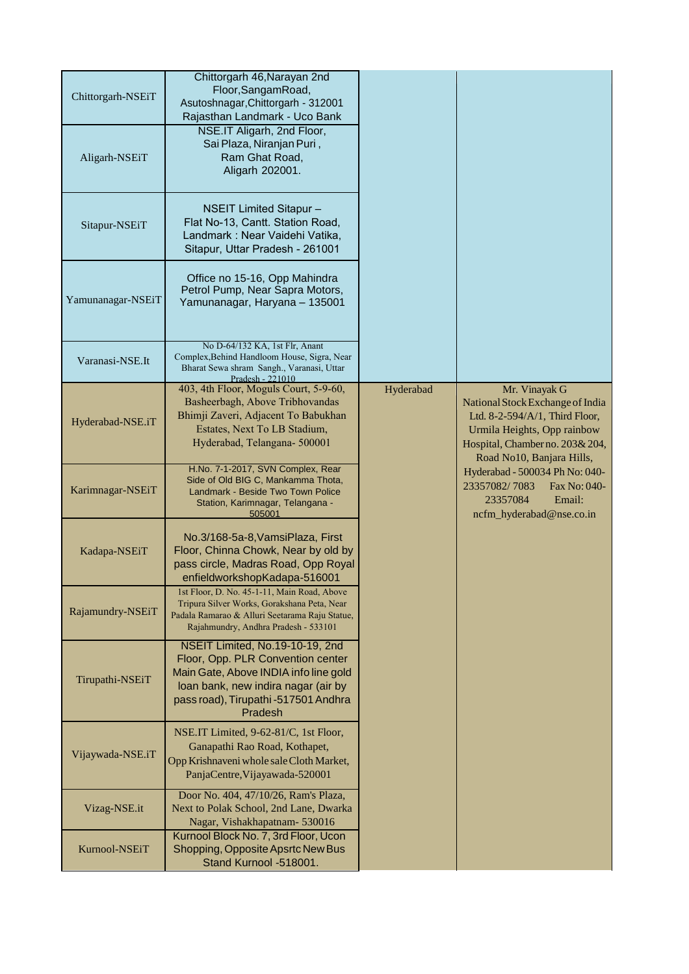| Chittorgarh-NSEiT | Chittorgarh 46, Narayan 2nd<br>Floor, SangamRoad,<br>Asutoshnagar, Chittorgarh - 312001<br>Rajasthan Landmark - Uco Bank                                                                                |           |                                                                                                                                                                                    |
|-------------------|---------------------------------------------------------------------------------------------------------------------------------------------------------------------------------------------------------|-----------|------------------------------------------------------------------------------------------------------------------------------------------------------------------------------------|
| Aligarh-NSEiT     | NSE.IT Aligarh, 2nd Floor,<br>Sai Plaza, Niranjan Puri,<br>Ram Ghat Road,<br>Aligarh 202001.                                                                                                            |           |                                                                                                                                                                                    |
| Sitapur-NSEiT     | <b>NSEIT Limited Sitapur -</b><br>Flat No-13, Cantt. Station Road,<br>Landmark: Near Vaidehi Vatika,<br>Sitapur, Uttar Pradesh - 261001                                                                 |           |                                                                                                                                                                                    |
| Yamunanagar-NSEiT | Office no 15-16, Opp Mahindra<br>Petrol Pump, Near Sapra Motors,<br>Yamunanagar, Haryana - 135001                                                                                                       |           |                                                                                                                                                                                    |
| Varanasi-NSE.It   | No D-64/132 KA, 1st Flr, Anant<br>Complex, Behind Handloom House, Sigra, Near<br>Bharat Sewa shram Sangh., Varanasi, Uttar<br>Pradesh - 221010                                                          |           |                                                                                                                                                                                    |
| Hyderabad-NSE.iT  | 403, 4th Floor, Moguls Court, 5-9-60,<br>Basheerbagh, Above Tribhovandas<br>Bhimji Zaveri, Adjacent To Babukhan<br>Estates, Next To LB Stadium,<br>Hyderabad, Telangana- 500001                         | Hyderabad | Mr. Vinayak G<br>National Stock Exchange of India<br>Ltd. 8-2-594/A/1, Third Floor,<br>Urmila Heights, Opp rainbow<br>Hospital, Chamber no. 203& 204,<br>Road No10, Banjara Hills, |
| Karimnagar-NSEiT  | H.No. 7-1-2017, SVN Complex, Rear<br>Side of Old BIG C, Mankamma Thota,<br>Landmark - Beside Two Town Police<br>Station, Karimnagar, Telangana -<br>505001                                              |           | Hyderabad - 500034 Ph No: 040-<br>23357082/7083<br>Fax No: 040-<br>23357084<br>Email:<br>ncfm_hyderabad@nse.co.in                                                                  |
| Kadapa-NSEiT      | No.3/168-5a-8, VamsiPlaza, First<br>Floor, Chinna Chowk, Near by old by<br>pass circle, Madras Road, Opp Royal<br>enfieldworkshopKadapa-516001                                                          |           |                                                                                                                                                                                    |
| Rajamundry-NSEiT  | 1st Floor, D. No. 45-1-11, Main Road, Above<br>Tripura Silver Works, Gorakshana Peta, Near<br>Padala Ramarao & Alluri Seetarama Raju Statue,<br>Rajahmundry, Andhra Pradesh - 533101                    |           |                                                                                                                                                                                    |
| Tirupathi-NSEiT   | NSEIT Limited, No.19-10-19, 2nd<br>Floor, Opp. PLR Convention center<br>Main Gate, Above INDIA info line gold<br>loan bank, new indira nagar (air by<br>pass road), Tirupathi -517501 Andhra<br>Pradesh |           |                                                                                                                                                                                    |
| Vijaywada-NSE.iT  | NSE.IT Limited, 9-62-81/C, 1st Floor,<br>Ganapathi Rao Road, Kothapet,<br>Opp Krishnaveni whole sale Cloth Market,<br>PanjaCentre, Vijayawada-520001                                                    |           |                                                                                                                                                                                    |
| Vizag-NSE.it      | Door No. 404, 47/10/26, Ram's Plaza,<br>Next to Polak School, 2nd Lane, Dwarka<br>Nagar, Vishakhapatnam-530016                                                                                          |           |                                                                                                                                                                                    |
| Kurnool-NSEiT     | Kurnool Block No. 7, 3rd Floor, Ucon<br>Shopping, Opposite Apsrtc New Bus<br>Stand Kurnool -518001.                                                                                                     |           |                                                                                                                                                                                    |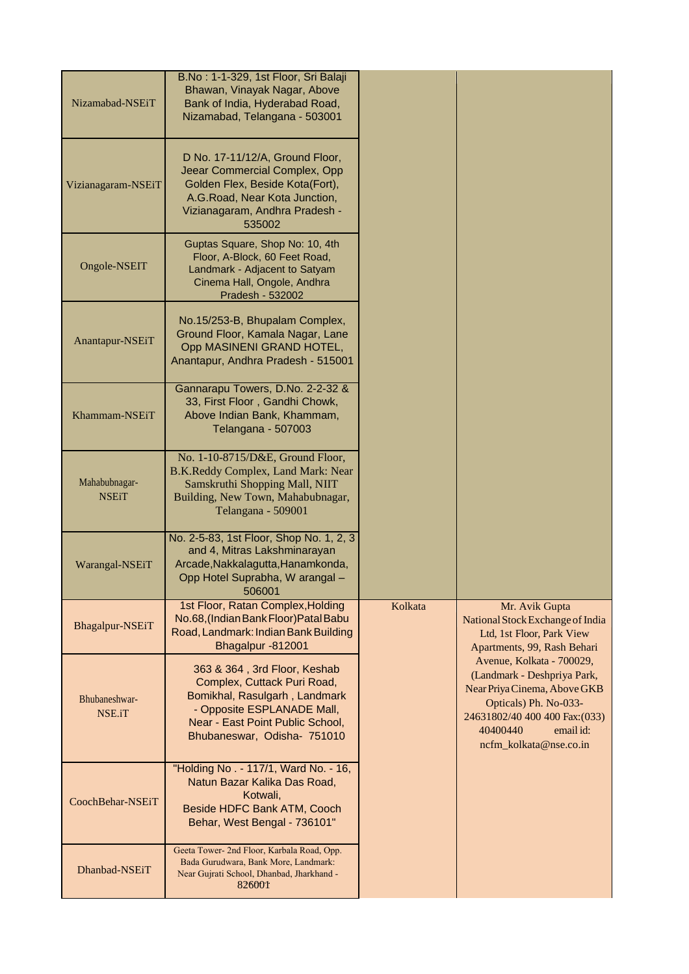| Nizamabad-NSEiT               | B.No: 1-1-329, 1st Floor, Sri Balaji<br>Bhawan, Vinayak Nagar, Above<br>Bank of India, Hyderabad Road,<br>Nizamabad, Telangana - 503001                                                       |         |                                                                                                                                                                                                        |
|-------------------------------|-----------------------------------------------------------------------------------------------------------------------------------------------------------------------------------------------|---------|--------------------------------------------------------------------------------------------------------------------------------------------------------------------------------------------------------|
| Vizianagaram-NSEiT            | D No. 17-11/12/A, Ground Floor,<br>Jeear Commercial Complex, Opp<br>Golden Flex, Beside Kota(Fort),<br>A.G.Road, Near Kota Junction,<br>Vizianagaram, Andhra Pradesh -<br>535002              |         |                                                                                                                                                                                                        |
| Ongole-NSEIT                  | Guptas Square, Shop No: 10, 4th<br>Floor, A-Block, 60 Feet Road,<br>Landmark - Adjacent to Satyam<br>Cinema Hall, Ongole, Andhra<br>Pradesh - 532002                                          |         |                                                                                                                                                                                                        |
| Anantapur-NSEiT               | No.15/253-B, Bhupalam Complex,<br>Ground Floor, Kamala Nagar, Lane<br>Opp MASINENI GRAND HOTEL,<br>Anantapur, Andhra Pradesh - 515001                                                         |         |                                                                                                                                                                                                        |
| Khammam-NSEiT                 | Gannarapu Towers, D.No. 2-2-32 &<br>33, First Floor, Gandhi Chowk,<br>Above Indian Bank, Khammam,<br><b>Telangana - 507003</b>                                                                |         |                                                                                                                                                                                                        |
| Mahabubnagar-<br><b>NSEiT</b> | No. 1-10-8715/D&E, Ground Floor,<br>B.K.Reddy Complex, Land Mark: Near<br>Samskruthi Shopping Mall, NIIT<br>Building, New Town, Mahabubnagar,<br>Telangana - 509001                           |         |                                                                                                                                                                                                        |
| Warangal-NSEiT                | No. 2-5-83, 1st Floor, Shop No. 1, 2, 3<br>and 4, Mitras Lakshminarayan<br>Arcade, Nakkalagutta, Hanamkonda,<br>Opp Hotel Suprabha, W arangal -<br>506001                                     |         |                                                                                                                                                                                                        |
| Bhagalpur-NSEiT               | 1st Floor, Ratan Complex, Holding<br>No.68, (Indian Bank Floor) Patal Babu<br>Road, Landmark: Indian Bank Building<br>Bhagalpur -812001                                                       | Kolkata | Mr. Avik Gupta<br>National Stock Exchange of India<br>Ltd, 1st Floor, Park View<br>Apartments, 99, Rash Behari                                                                                         |
| Bhubaneshwar-<br>NSE.iT       | 363 & 364, 3rd Floor, Keshab<br>Complex, Cuttack Puri Road,<br>Bomikhal, Rasulgarh, Landmark<br>- Opposite ESPLANADE Mall,<br>Near - East Point Public School,<br>Bhubaneswar, Odisha- 751010 |         | Avenue, Kolkata - 700029,<br>(Landmark - Deshpriya Park,<br>Near Priya Cinema, Above GKB<br>Opticals) Ph. No-033-<br>24631802/40 400 400 Fax: (033)<br>40400440<br>email id:<br>ncfm_kolkata@nse.co.in |
| CoochBehar-NSEiT              | "Holding No. - 117/1, Ward No. - 16,<br>Natun Bazar Kalika Das Road,<br>Kotwali,<br>Beside HDFC Bank ATM, Cooch<br>Behar, West Bengal - 736101"                                               |         |                                                                                                                                                                                                        |
| Dhanbad-NSEiT                 | Geeta Tower- 2nd Floor, Karbala Road, Opp.<br>Bada Gurudwara, Bank More, Landmark:<br>Near Gujrati School, Dhanbad, Jharkhand -<br>826001                                                     |         |                                                                                                                                                                                                        |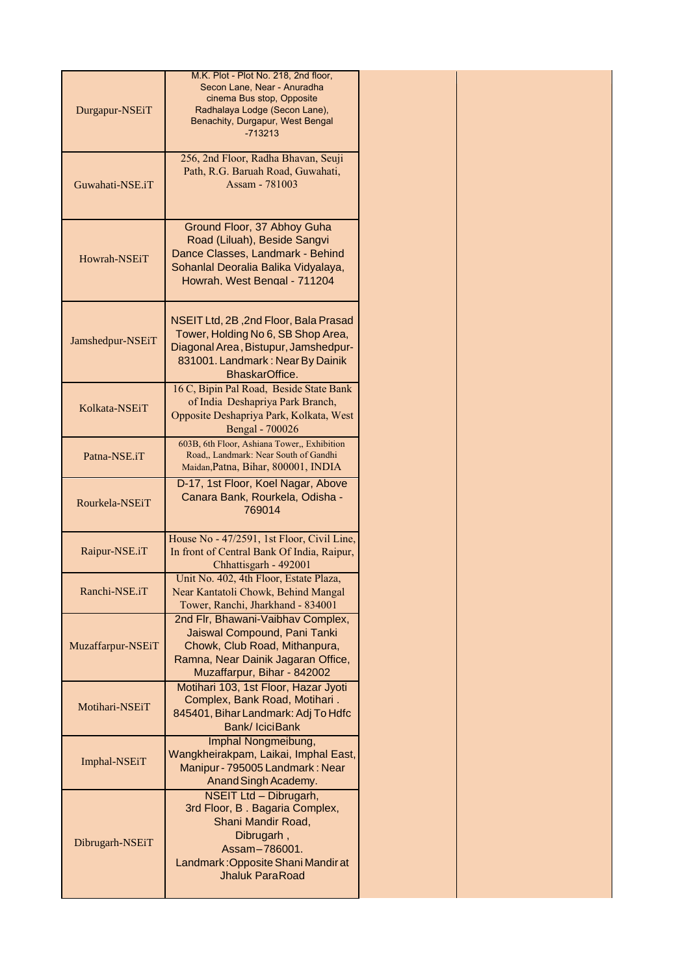|                   | M.K. Plot - Plot No. 218, 2nd floor,                                     |
|-------------------|--------------------------------------------------------------------------|
|                   | Secon Lane, Near - Anuradha                                              |
|                   | cinema Bus stop, Opposite                                                |
| Durgapur-NSEiT    | Radhalaya Lodge (Secon Lane),<br>Benachity, Durgapur, West Bengal        |
|                   | $-713213$                                                                |
|                   |                                                                          |
|                   | 256, 2nd Floor, Radha Bhavan, Seuji                                      |
| Guwahati-NSE.iT   | Path, R.G. Baruah Road, Guwahati,<br>Assam - 781003                      |
|                   |                                                                          |
|                   |                                                                          |
|                   | Ground Floor, 37 Abhoy Guha                                              |
|                   | Road (Liluah), Beside Sangvi                                             |
| Howrah-NSEiT      | Dance Classes, Landmark - Behind                                         |
|                   | Sohanlal Deoralia Balika Vidyalaya,<br>Howrah, West Bengal - 711204      |
|                   |                                                                          |
|                   |                                                                          |
|                   | NSEIT Ltd, 2B, 2nd Floor, Bala Prasad                                    |
| Jamshedpur-NSEiT  | Tower, Holding No 6, SB Shop Area,                                       |
|                   | Diagonal Area, Bistupur, Jamshedpur-<br>831001. Landmark: Near By Dainik |
|                   | BhaskarOffice.                                                           |
|                   | 16 C, Bipin Pal Road, Beside State Bank                                  |
| Kolkata-NSEiT     | of India Deshapriya Park Branch,                                         |
|                   | Opposite Deshapriya Park, Kolkata, West                                  |
|                   | Bengal - 700026<br>603B, 6th Floor, Ashiana Tower,, Exhibition           |
| Patna-NSE.iT      | Road,, Landmark: Near South of Gandhi                                    |
|                   | Maidan, Patna, Bihar, 800001, INDIA                                      |
|                   | D-17, 1st Floor, Koel Nagar, Above                                       |
| Rourkela-NSEiT    | Canara Bank, Rourkela, Odisha -                                          |
|                   | 769014                                                                   |
|                   | House No - 47/2591, 1st Floor, Civil Line,                               |
| Raipur-NSE.iT     | In front of Central Bank Of India, Raipur,                               |
|                   | Chhattisgarh - 492001                                                    |
|                   | Unit No. 402, 4th Floor, Estate Plaza,                                   |
| Ranchi-NSE.iT     | Near Kantatoli Chowk, Behind Mangal                                      |
|                   | Tower, Ranchi, Jharkhand - 834001<br>2nd Flr, Bhawani-Vaibhav Complex,   |
|                   | Jaiswal Compound, Pani Tanki                                             |
| Muzaffarpur-NSEiT | Chowk, Club Road, Mithanpura,                                            |
|                   | Ramna, Near Dainik Jagaran Office,                                       |
|                   | Muzaffarpur, Bihar - 842002                                              |
|                   | Motihari 103, 1st Floor, Hazar Jyoti                                     |
| Motihari-NSEiT    | Complex, Bank Road, Motihari.                                            |
|                   | 845401, Bihar Landmark: Adj To Hdfc<br>Bank/ IciciBank                   |
|                   | Imphal Nongmeibung,                                                      |
|                   | Wangkheirakpam, Laikai, Imphal East,                                     |
| Imphal-NSEiT      | Manipur - 795005 Landmark: Near                                          |
|                   | Anand Singh Academy.                                                     |
|                   | NSEIT Ltd - Dibrugarh,                                                   |
|                   | 3rd Floor, B. Bagaria Complex,                                           |
|                   | Shani Mandir Road,<br>Dibrugarh,                                         |
| Dibrugarh-NSEiT   | Assam-786001.                                                            |
|                   | Landmark: Opposite Shani Mandir at                                       |
|                   | <b>Jhaluk ParaRoad</b>                                                   |
|                   |                                                                          |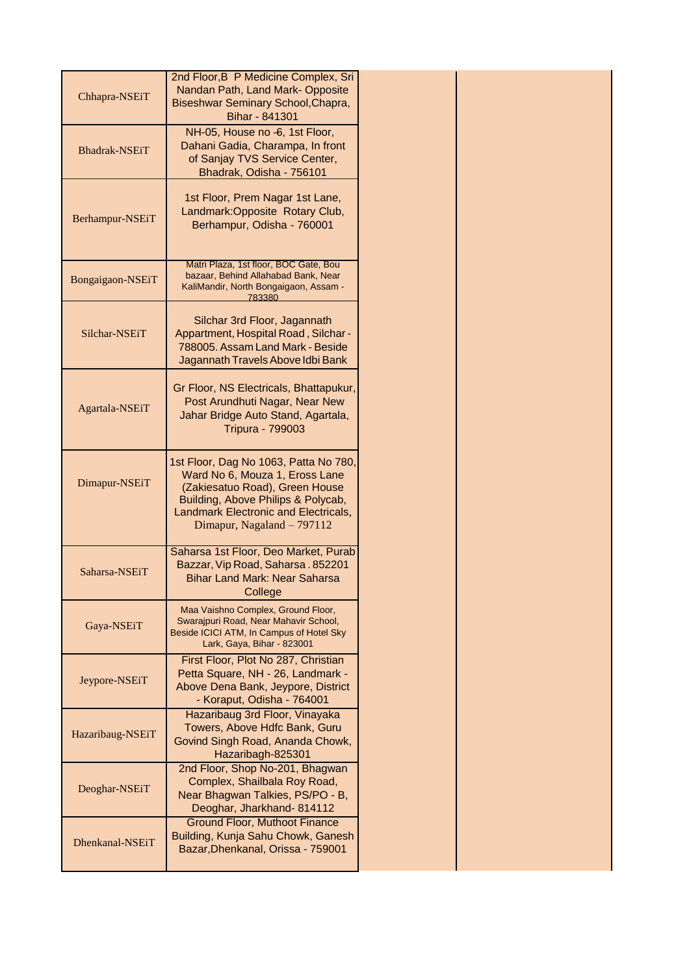| Chhapra-NSEiT        | 2nd Floor, B P Medicine Complex, Sri<br>Nandan Path, Land Mark-Opposite<br>Biseshwar Seminary School, Chapra,<br>Bihar - 841301                                                                                       |
|----------------------|-----------------------------------------------------------------------------------------------------------------------------------------------------------------------------------------------------------------------|
| <b>Bhadrak-NSEiT</b> | NH-05, House no -6, 1st Floor,<br>Dahani Gadia, Charampa, In front<br>of Sanjay TVS Service Center,<br>Bhadrak, Odisha - 756101                                                                                       |
| Berhampur-NSEiT      | 1st Floor, Prem Nagar 1st Lane,<br>Landmark: Opposite Rotary Club,<br>Berhampur, Odisha - 760001                                                                                                                      |
| Bongaigaon-NSEiT     | Matri Plaza, 1st floor, BOC Gate, Bou<br>bazaar, Behind Allahabad Bank, Near<br>KaliMandir, North Bongaigaon, Assam -<br>783380                                                                                       |
| Silchar-NSEiT        | Silchar 3rd Floor, Jagannath<br>Appartment, Hospital Road, Silchar -<br>788005. Assam Land Mark - Beside<br>Jagannath Travels Above Idbi Bank                                                                         |
| Agartala-NSEiT       | Gr Floor, NS Electricals, Bhattapukur,<br>Post Arundhuti Nagar, Near New<br>Jahar Bridge Auto Stand, Agartala,<br><b>Tripura - 799003</b>                                                                             |
| Dimapur-NSEiT        | 1st Floor, Dag No 1063, Patta No 780,<br>Ward No 6, Mouza 1, Eross Lane<br>(Zakiesatuo Road), Green House<br>Building, Above Philips & Polycab,<br>Landmark Electronic and Electricals,<br>Dimapur, Nagaland - 797112 |
| Saharsa-NSEiT        | Saharsa 1st Floor, Deo Market, Purab<br>Bazzar, Vip Road, Saharsa. 852201<br><b>Bihar Land Mark: Near Saharsa</b><br>College                                                                                          |
| Gaya-NSEiT           | Maa Vaishno Complex, Ground Floor,<br>Swarajpuri Road, Near Mahavir School,<br>Beside ICICI ATM, In Campus of Hotel Sky<br>Lark, Gaya, Bihar - 823001                                                                 |
| Jeypore-NSEiT        | First Floor, Plot No 287, Christian<br>Petta Square, NH - 26, Landmark -<br>Above Dena Bank, Jeypore, District<br>- Koraput, Odisha - 764001                                                                          |
| Hazaribaug-NSEiT     | Hazaribaug 3rd Floor, Vinayaka<br>Towers, Above Hdfc Bank, Guru<br>Govind Singh Road, Ananda Chowk,<br>Hazaribagh-825301                                                                                              |
| Deoghar-NSEiT        | 2nd Floor, Shop No-201, Bhagwan<br>Complex, Shailbala Roy Road,<br>Near Bhagwan Talkies, PS/PO - B,<br>Deoghar, Jharkhand- 814112                                                                                     |
| Dhenkanal-NSEiT      | <b>Ground Floor, Muthoot Finance</b><br>Building, Kunja Sahu Chowk, Ganesh<br>Bazar, Dhenkanal, Orissa - 759001                                                                                                       |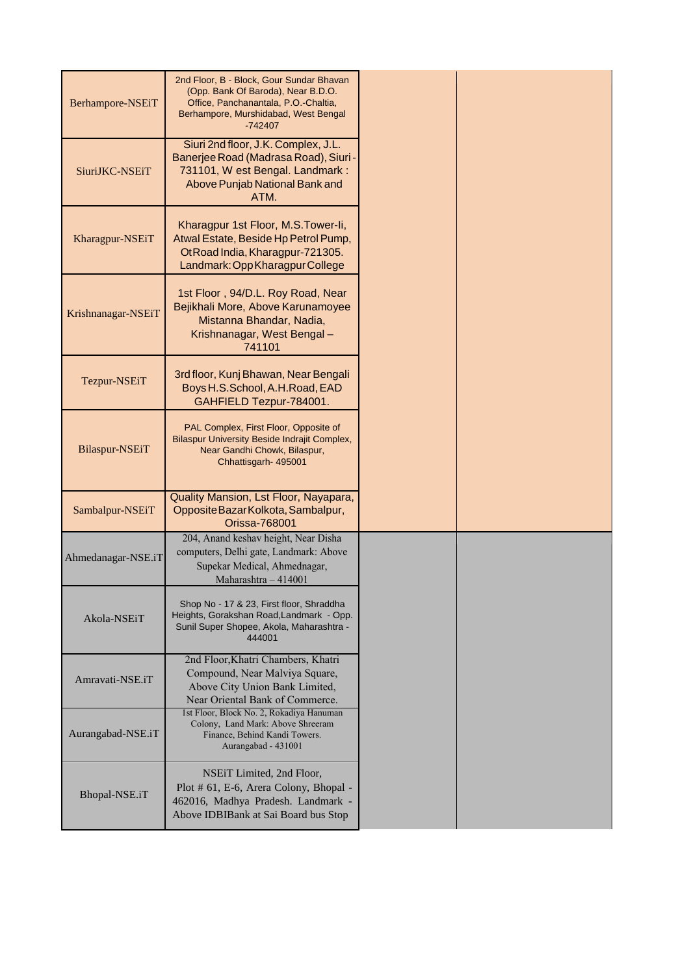| Berhampore-NSEiT   | 2nd Floor, B - Block, Gour Sundar Bhavan<br>(Opp. Bank Of Baroda), Near B.D.O.<br>Office, Panchanantala, P.O.-Chaltia,<br>Berhampore, Murshidabad, West Bengal<br>$-742407$ |  |
|--------------------|-----------------------------------------------------------------------------------------------------------------------------------------------------------------------------|--|
| SiuriJKC-NSEiT     | Siuri 2nd floor, J.K. Complex, J.L.<br>Banerjee Road (Madrasa Road), Siuri<br>731101, W est Bengal. Landmark:<br>Above Punjab National Bank and<br>ATM.                     |  |
| Kharagpur-NSEiT    | Kharagpur 1st Floor, M.S.Tower-li,<br>Atwal Estate, Beside Hp Petrol Pump,<br>OtRoad India, Kharagpur-721305.<br>Landmark: Opp Kharagpur College                            |  |
| Krishnanagar-NSEiT | 1st Floor, 94/D.L. Roy Road, Near<br>Bejikhali More, Above Karunamoyee<br>Mistanna Bhandar, Nadia,<br>Krishnanagar, West Bengal-<br>741101                                  |  |
| Tezpur-NSEiT       | 3rd floor, Kunj Bhawan, Near Bengali<br>Boys H.S.School, A.H.Road, EAD<br>GAHFIELD Tezpur-784001.                                                                           |  |
| Bilaspur-NSEiT     | PAL Complex, First Floor, Opposite of<br>Bilaspur University Beside Indrajit Complex,<br>Near Gandhi Chowk, Bilaspur,<br>Chhattisgarh- 495001                               |  |
| Sambalpur-NSEiT    | Quality Mansion, Lst Floor, Nayapara,<br>Opposite Bazar Kolkota, Sambalpur,<br><b>Orissa-768001</b>                                                                         |  |
| Ahmedanagar-NSE.iT | 204, Anand keshav height, Near Disha<br>computers, Delhi gate, Landmark: Above<br>Supekar Medical, Ahmednagar,<br>Maharashtra - 414001                                      |  |
| Akola-NSEiT        | Shop No - 17 & 23, First floor, Shraddha<br>Heights, Gorakshan Road, Landmark - Opp.<br>Sunil Super Shopee, Akola, Maharashtra -<br>444001                                  |  |
| Amravati-NSE.iT    | 2nd Floor, Khatri Chambers, Khatri<br>Compound, Near Malviya Square,<br>Above City Union Bank Limited,<br>Near Oriental Bank of Commerce.                                   |  |
| Aurangabad-NSE.iT  | 1st Floor, Block No. 2, Rokadiya Hanuman<br>Colony, Land Mark: Above Shreeram<br>Finance, Behind Kandi Towers.<br>Aurangabad - 431001                                       |  |
| Bhopal-NSE.iT      | NSEIT Limited, 2nd Floor,<br>Plot # 61, E-6, Arera Colony, Bhopal -<br>462016, Madhya Pradesh. Landmark -<br>Above IDBIBank at Sai Board bus Stop                           |  |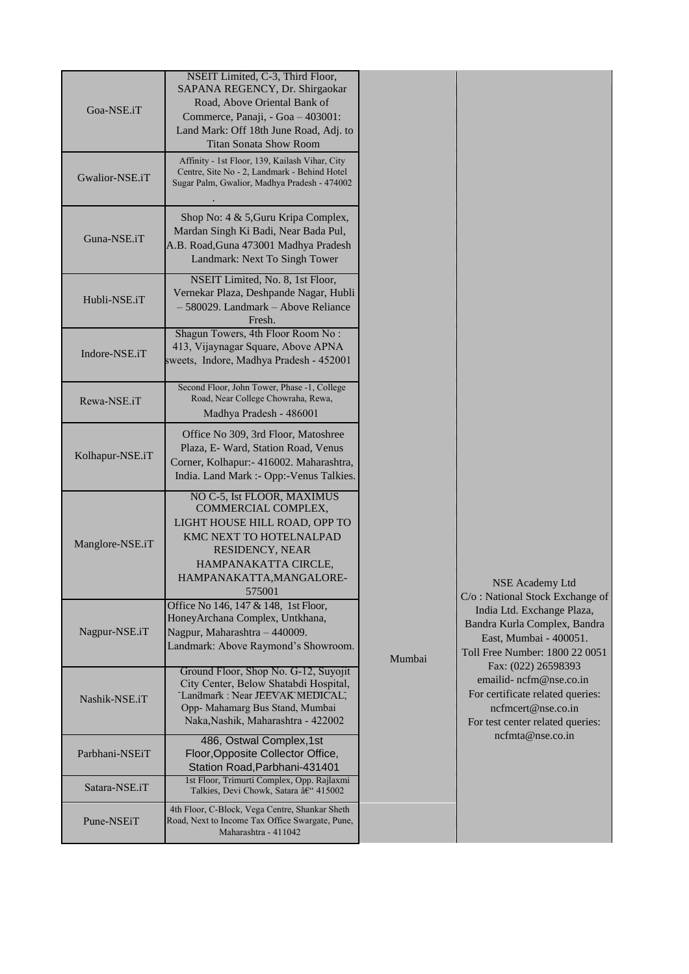| Goa-NSE.iT      | NSEIT Limited, C-3, Third Floor,<br>SAPANA REGENCY, Dr. Shirgaokar<br>Road, Above Oriental Bank of<br>Commerce, Panaji, - Goa - 403001:<br>Land Mark: Off 18th June Road, Adj. to<br><b>Titan Sonata Show Room</b> |        |                                                                                                                                             |
|-----------------|--------------------------------------------------------------------------------------------------------------------------------------------------------------------------------------------------------------------|--------|---------------------------------------------------------------------------------------------------------------------------------------------|
| Gwalior-NSE.iT  | Affinity - 1st Floor, 139, Kailash Vihar, City<br>Centre, Site No - 2, Landmark - Behind Hotel<br>Sugar Palm, Gwalior, Madhya Pradesh - 474002                                                                     |        |                                                                                                                                             |
| Guna-NSE.iT     | Shop No: 4 & 5, Guru Kripa Complex,<br>Mardan Singh Ki Badi, Near Bada Pul,<br>A.B. Road, Guna 473001 Madhya Pradesh<br>Landmark: Next To Singh Tower                                                              |        |                                                                                                                                             |
| Hubli-NSE.iT    | NSEIT Limited, No. 8, 1st Floor,<br>Vernekar Plaza, Deshpande Nagar, Hubli<br>- 580029. Landmark - Above Reliance<br>Fresh.                                                                                        |        |                                                                                                                                             |
| Indore-NSE.iT   | Shagun Towers, 4th Floor Room No:<br>413, Vijaynagar Square, Above APNA<br>sweets, Indore, Madhya Pradesh - 452001                                                                                                 |        |                                                                                                                                             |
| Rewa-NSE.iT     | Second Floor, John Tower, Phase -1, College<br>Road, Near College Chowraha, Rewa,<br>Madhya Pradesh - 486001                                                                                                       |        |                                                                                                                                             |
| Kolhapur-NSE.iT | Office No 309, 3rd Floor, Matoshree<br>Plaza, E- Ward, Station Road, Venus<br>Corner, Kolhapur: - 416002. Maharashtra,<br>India. Land Mark :- Opp:-Venus Talkies.                                                  |        |                                                                                                                                             |
| Manglore-NSE.iT | NO C-5, Ist FLOOR, MAXIMUS<br>COMMERCIAL COMPLEX,<br>LIGHT HOUSE HILL ROAD, OPP TO<br>KMC NEXT TO HOTELNALPAD<br>RESIDENCY, NEAR<br>HAMPANAKATTA CIRCLE,<br>HAMPANAKATTA, MANGALORE-<br>575001                     |        | NSE Academy Ltd<br>C/o: National Stock Exchange of                                                                                          |
| Nagpur-NSE.iT   | Office No 146, 147 & 148, 1st Floor,<br>HoneyArchana Complex, Untkhana,<br>Nagpur, Maharashtra - 440009.<br>Landmark: Above Raymond's Showroom.                                                                    | Mumbai | India Ltd. Exchange Plaza,<br>Bandra Kurla Complex, Bandra<br>East, Mumbai - 400051.<br>Toll Free Number: 1800 22 0051                      |
| Nashik-NSE.iT   | Ground Floor, Shop No. G-12, Suyojit<br>City Center, Below Shatabdi Hospital,<br>Landmark: Near JEEVAK MEDICAL,<br>Opp- Mahamarg Bus Stand, Mumbai<br>Naka, Nashik, Maharashtra - 422002                           |        | Fax: (022) 26598393<br>emailid-ncfm@nse.co.in<br>For certificate related queries:<br>ncfmcert@nse.co.in<br>For test center related queries: |
| Parbhani-NSEiT  | 486, Ostwal Complex, 1st<br>Floor, Opposite Collector Office,<br>Station Road, Parbhani-431401                                                                                                                     |        | ncfmta@nse.co.in                                                                                                                            |
| Satara-NSE.iT   | 1st Floor, Trimurti Complex, Opp. Rajlaxmi<br>Talkies, Devi Chowk, Satara – 415002                                                                                                                                 |        |                                                                                                                                             |
| Pune-NSEiT      | 4th Floor, C-Block, Vega Centre, Shankar Sheth<br>Road, Next to Income Tax Office Swargate, Pune,<br>Maharashtra - 411042                                                                                          |        |                                                                                                                                             |